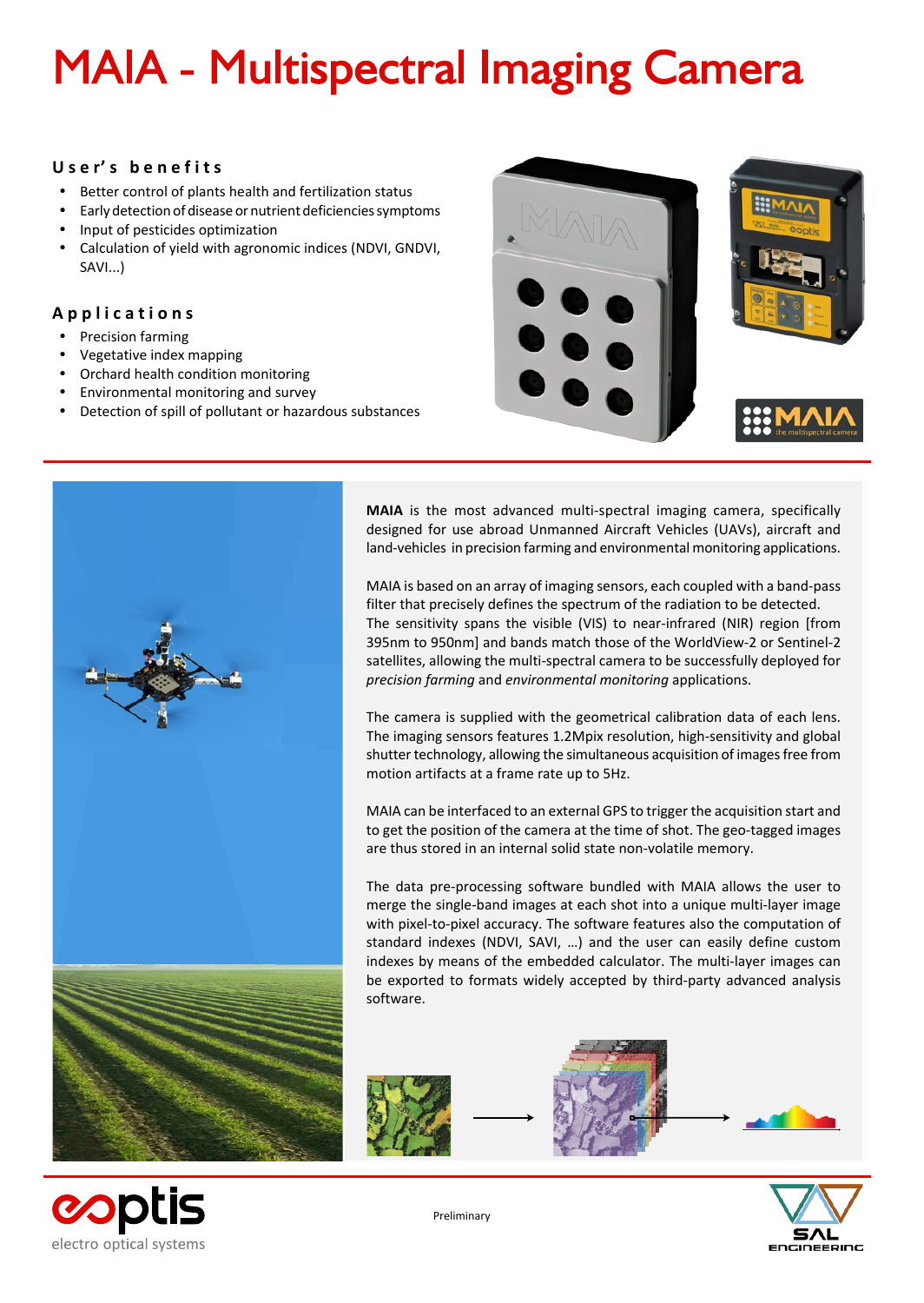# **MAIA - Multispectral Imaging Camera**

### **U s e r' s b e n e f i t s**

- Better control of plants health and fertilization status
- Early detection of disease or nutrient deficiencies symptoms
- ü Input of pesticides optimization
- Calculation of yield with agronomic indices (NDVI, GNDVI, SAVI...)

## **A p p l i c a t i o n s**

- Precision farming
- Vegetative index mapping
- ü Orchard health condition monitoring
- **•** Environmental monitoring and survey
- Detection of spill of pollutant or hazardous substances





**copti** 

electro optical systems

**MAIA** is the most advanced multi-spectral imaging camera, specifically designed for use abroad Unmanned Aircraft Vehicles (UAVs), aircraft and land-vehicles in precision farming and environmental monitoring applications.

MAIA is based on an array of imaging sensors, each coupled with a band-pass filter that precisely defines the spectrum of the radiation to be detected. The sensitivity spans the visible (VIS) to near-infrared (NIR) region [from 395nm to 950nm] and bands match those of the WorldView-2 or Sentinel-2 satellites, allowing the multi-spectral camera to be successfully deployed for *precision farming* and *environmental monitoring* applications.

The camera is supplied with the geometrical calibration data of each lens. The imaging sensors features 1.2Mpix resolution, high-sensitivity and global shutter technology, allowing the simultaneous acquisition of images free from motion artifacts at a frame rate up to 5Hz.

MAIA can be interfaced to an external GPS to trigger the acquisition start and to get the position of the camera at the time of shot. The geo-tagged images are thus stored in an internal solid state non-volatile memory.

The data pre-processing software bundled with MAIA allows the user to merge the single-band images at each shot into a unique multi-layer image with pixel-to-pixel accuracy. The software features also the computation of standard indexes (NDVI, SAVI, …) and the user can easily define custom indexes by means of the embedded calculator. The multi-layer images can be exported to formats widely accepted by third-party advanced analysis software.